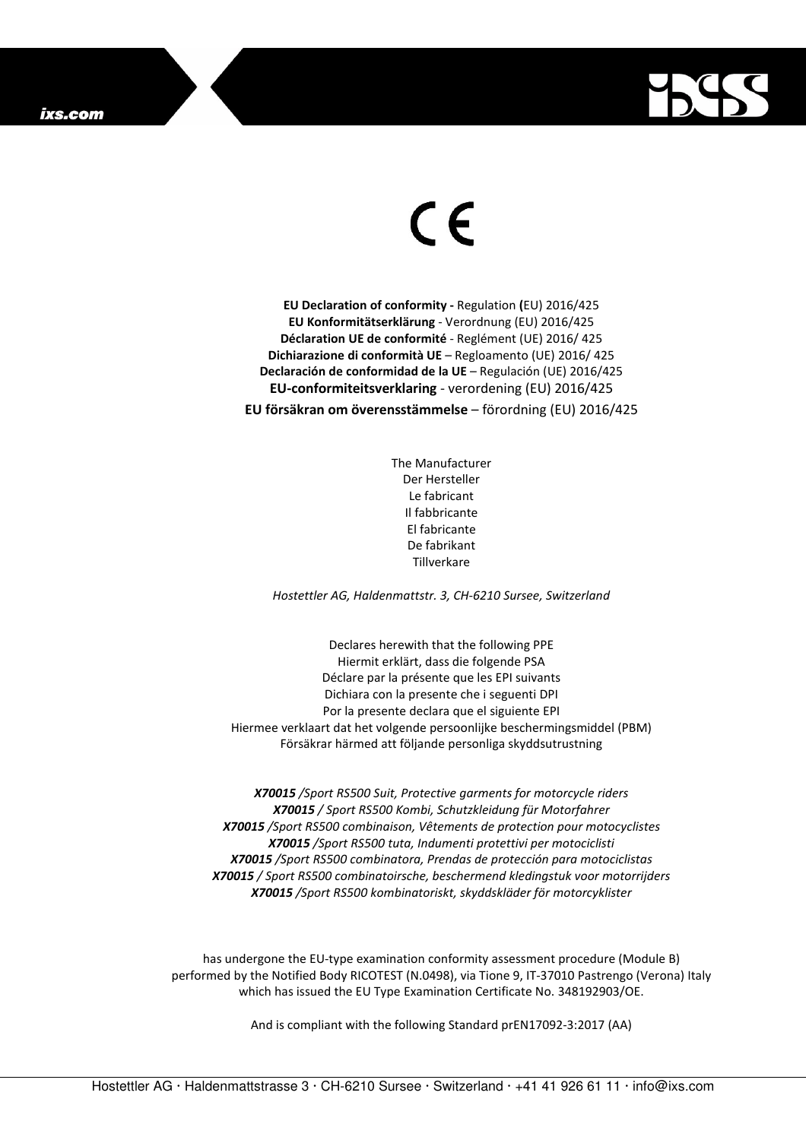

## $\in$

**EU Declaration of conformity -** Regulation **(**EU) 2016/425 **EU Konformitätserklärung** - Verordnung (EU) 2016/425 **Déclaration UE de conformité** - Reglément (UE) 2016/ 425 **Dichiarazione di conformità UE** – Regloamento (UE) 2016/ 425 **Declaración de conformidad de la UE** – Regulación (UE) 2016/425 **EU-conformiteitsverklaring** - verordening (EU) 2016/425 **EU försäkran om överensstämmelse** – förordning (EU) 2016/425

> The Manufacturer Der Hersteller Le fabricant Il fabbricante El fabricante De fabrikant **Tillverkare**

*Hostettler AG, Haldenmattstr. 3, CH-6210 Sursee, Switzerland* 

Declares herewith that the following PPE Hiermit erklärt, dass die folgende PSA Déclare par la présente que les EPI suivants Dichiara con la presente che i seguenti DPI Por la presente declara que el siguiente EPI Hiermee verklaart dat het volgende persoonlijke beschermingsmiddel (PBM) Försäkrar härmed att följande personliga skyddsutrustning

*X70015 /Sport RS500 Suit, Protective garments for motorcycle riders X70015 / Sport RS500 Kombi, Schutzkleidung für Motorfahrer X70015 /Sport RS500 combinaison, Vêtements de protection pour motocyclistes X70015 /Sport RS500 tuta, Indumenti protettivi per motociclisti X70015 /Sport RS500 combinatora, Prendas de protección para motociclistas X70015 / Sport RS500 combinatoirsche, beschermend kledingstuk voor motorrijders X70015 /Sport RS500 kombinatoriskt, skyddskläder för motorcyklister* 

has undergone the EU-type examination conformity assessment procedure (Module B) performed by the Notified Body RICOTEST (N.0498), via Tione 9, IT-37010 Pastrengo (Verona) Italy which has issued the EU Type Examination Certificate No. 348192903/OE.

And is compliant with the following Standard prEN17092-3:2017 (AA)